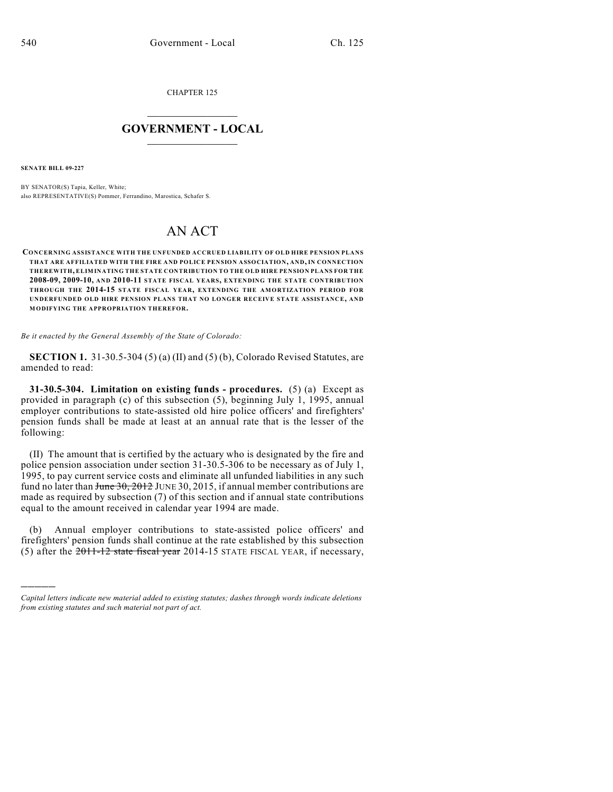CHAPTER 125

### $\mathcal{L}_\text{max}$  . The set of the set of the set of the set of the set of the set of the set of the set of the set of the set of the set of the set of the set of the set of the set of the set of the set of the set of the set **GOVERNMENT - LOCAL**  $\_$

**SENATE BILL 09-227**

)))))

BY SENATOR(S) Tapia, Keller, White; also REPRESENTATIVE(S) Pommer, Ferrandino, Marostica, Schafer S.

## AN ACT

**CONCERNING ASSISTANCE WITH THE UNFUNDED ACCRUED LIABILITY OF OLD HIRE PENSION PLANS THAT ARE AFFILIATED WITH THE FIRE AND POLICE PENSION ASSOCIATION, AND, IN CONNECTION THEREWITH, ELIMINATING THE STATE CONTRIBUTION TO THE OLD HIRE PENSION PLANS FOR THE 2008-09, 2009-10, AND 2010-11 STATE FISCAL YEARS, EXTENDING THE STATE CONTRIBUTION THROUGH THE 2014-15 STATE FISCAL YEAR, EXTENDING THE AMORTIZATION PERIOD FOR UNDERFUNDED OLD HIRE PENSION PLANS THAT NO LONGER RECEIVE STATE ASSISTANCE, AND MODIFYING THE APPROPRIATION THEREFOR.**

*Be it enacted by the General Assembly of the State of Colorado:*

**SECTION 1.** 31-30.5-304 (5) (a) (II) and (5) (b), Colorado Revised Statutes, are amended to read:

**31-30.5-304. Limitation on existing funds - procedures.** (5) (a) Except as provided in paragraph (c) of this subsection (5), beginning July 1, 1995, annual employer contributions to state-assisted old hire police officers' and firefighters' pension funds shall be made at least at an annual rate that is the lesser of the following:

(II) The amount that is certified by the actuary who is designated by the fire and police pension association under section 31-30.5-306 to be necessary as of July 1, 1995, to pay current service costs and eliminate all unfunded liabilities in any such fund no later than  $J$ une  $30$ ,  $2012$  JUNE 30, 2015, if annual member contributions are made as required by subsection (7) of this section and if annual state contributions equal to the amount received in calendar year 1994 are made.

(b) Annual employer contributions to state-assisted police officers' and firefighters' pension funds shall continue at the rate established by this subsection (5) after the 2011-12 state fiscal year 2014-15 STATE FISCAL YEAR, if necessary,

*Capital letters indicate new material added to existing statutes; dashes through words indicate deletions from existing statutes and such material not part of act.*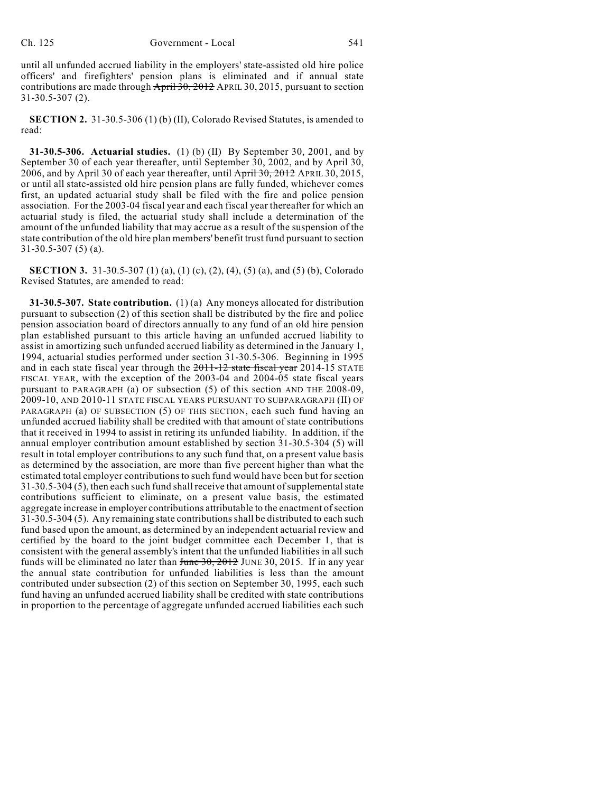until all unfunded accrued liability in the employers' state-assisted old hire police officers' and firefighters' pension plans is eliminated and if annual state contributions are made through  $\frac{\text{April 30, 2012}}{\text{April 30, 2015}}$ , pursuant to section 31-30.5-307 (2).

**SECTION 2.** 31-30.5-306 (1) (b) (II), Colorado Revised Statutes, is amended to read:

**31-30.5-306. Actuarial studies.** (1) (b) (II) By September 30, 2001, and by September 30 of each year thereafter, until September 30, 2002, and by April 30, 2006, and by April 30 of each year thereafter, until April 30, 2012 APRIL 30, 2015, or until all state-assisted old hire pension plans are fully funded, whichever comes first, an updated actuarial study shall be filed with the fire and police pension association. For the 2003-04 fiscal year and each fiscal year thereafter for which an actuarial study is filed, the actuarial study shall include a determination of the amount of the unfunded liability that may accrue as a result of the suspension of the state contribution of the old hire plan members' benefit trust fund pursuant to section 31-30.5-307 (5) (a).

**SECTION 3.** 31-30.5-307 (1) (a), (1) (c), (2), (4), (5) (a), and (5) (b), Colorado Revised Statutes, are amended to read:

**31-30.5-307. State contribution.** (1) (a) Any moneys allocated for distribution pursuant to subsection (2) of this section shall be distributed by the fire and police pension association board of directors annually to any fund of an old hire pension plan established pursuant to this article having an unfunded accrued liability to assist in amortizing such unfunded accrued liability as determined in the January 1, 1994, actuarial studies performed under section 31-30.5-306. Beginning in 1995 and in each state fiscal year through the 2011-12 state fiscal year 2014-15 STATE FISCAL YEAR, with the exception of the 2003-04 and 2004-05 state fiscal years pursuant to PARAGRAPH (a) OF subsection (5) of this section AND THE 2008-09, 2009-10, AND 2010-11 STATE FISCAL YEARS PURSUANT TO SUBPARAGRAPH (II) OF PARAGRAPH (a) OF SUBSECTION (5) OF THIS SECTION, each such fund having an unfunded accrued liability shall be credited with that amount of state contributions that it received in 1994 to assist in retiring its unfunded liability. In addition, if the annual employer contribution amount established by section 31-30.5-304 (5) will result in total employer contributions to any such fund that, on a present value basis as determined by the association, are more than five percent higher than what the estimated total employer contributions to such fund would have been but for section 31-30.5-304 (5), then each such fund shall receive that amount of supplemental state contributions sufficient to eliminate, on a present value basis, the estimated aggregate increase in employer contributions attributable to the enactment of section 31-30.5-304 (5). Any remaining state contributions shall be distributed to each such fund based upon the amount, as determined by an independent actuarial review and certified by the board to the joint budget committee each December 1, that is consistent with the general assembly's intent that the unfunded liabilities in all such funds will be eliminated no later than  $\frac{f_{\text{un}}}{f_{\text{un}}}}$  June 30, 2015. If in any year the annual state contribution for unfunded liabilities is less than the amount contributed under subsection (2) of this section on September 30, 1995, each such fund having an unfunded accrued liability shall be credited with state contributions in proportion to the percentage of aggregate unfunded accrued liabilities each such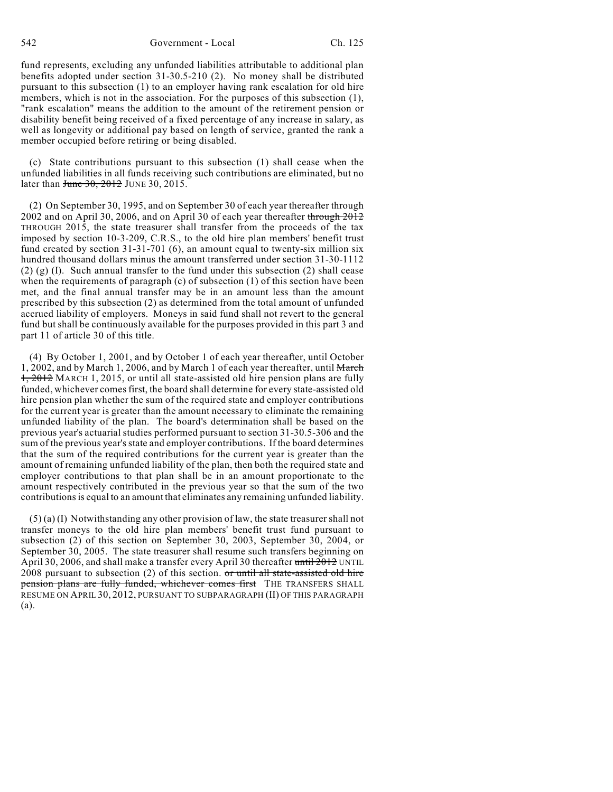542 Government - Local Ch. 125

fund represents, excluding any unfunded liabilities attributable to additional plan benefits adopted under section 31-30.5-210 (2). No money shall be distributed pursuant to this subsection (1) to an employer having rank escalation for old hire members, which is not in the association. For the purposes of this subsection (1), "rank escalation" means the addition to the amount of the retirement pension or disability benefit being received of a fixed percentage of any increase in salary, as well as longevity or additional pay based on length of service, granted the rank a member occupied before retiring or being disabled.

(c) State contributions pursuant to this subsection (1) shall cease when the unfunded liabilities in all funds receiving such contributions are eliminated, but no later than June 30, 2012 JUNE 30, 2015.

(2) On September 30, 1995, and on September 30 of each year thereafter through 2002 and on April 30, 2006, and on April 30 of each year thereafter through 2012 THROUGH 2015, the state treasurer shall transfer from the proceeds of the tax imposed by section 10-3-209, C.R.S., to the old hire plan members' benefit trust fund created by section 31-31-701 (6), an amount equal to twenty-six million six hundred thousand dollars minus the amount transferred under section 31-30-1112  $(2)$  (g) (I). Such annual transfer to the fund under this subsection (2) shall cease when the requirements of paragraph (c) of subsection (1) of this section have been met, and the final annual transfer may be in an amount less than the amount prescribed by this subsection (2) as determined from the total amount of unfunded accrued liability of employers. Moneys in said fund shall not revert to the general fund but shall be continuously available for the purposes provided in this part 3 and part 11 of article 30 of this title.

(4) By October 1, 2001, and by October 1 of each year thereafter, until October 1, 2002, and by March 1, 2006, and by March 1 of each year thereafter, until March 1, 2012 MARCH 1, 2015, or until all state-assisted old hire pension plans are fully funded, whichever comes first, the board shall determine for every state-assisted old hire pension plan whether the sum of the required state and employer contributions for the current year is greater than the amount necessary to eliminate the remaining unfunded liability of the plan. The board's determination shall be based on the previous year's actuarial studies performed pursuant to section 31-30.5-306 and the sum of the previous year's state and employer contributions. If the board determines that the sum of the required contributions for the current year is greater than the amount of remaining unfunded liability of the plan, then both the required state and employer contributions to that plan shall be in an amount proportionate to the amount respectively contributed in the previous year so that the sum of the two contributions is equal to an amount that eliminates any remaining unfunded liability.

 $(5)$  (a) (I) Notwithstanding any other provision of law, the state treasurer shall not transfer moneys to the old hire plan members' benefit trust fund pursuant to subsection (2) of this section on September 30, 2003, September 30, 2004, or September 30, 2005. The state treasurer shall resume such transfers beginning on April 30, 2006, and shall make a transfer every April 30 thereafter until 2012 UNTIL  $2008$  pursuant to subsection (2) of this section. or until all state-assisted old hire pension plans are fully funded, whichever comes first THE TRANSFERS SHALL RESUME ON APRIL 30, 2012, PURSUANT TO SUBPARAGRAPH (II) OF THIS PARAGRAPH (a).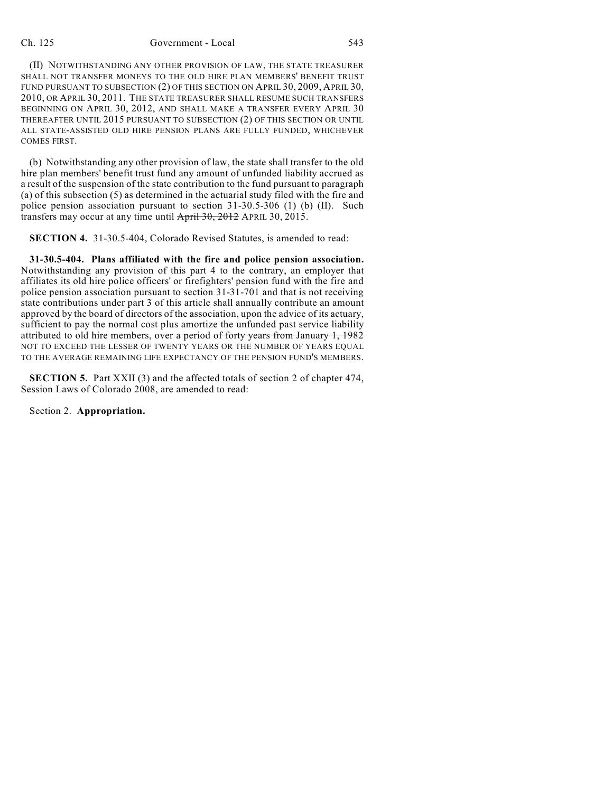#### Ch. 125 Government - Local 543

(II) NOTWITHSTANDING ANY OTHER PROVISION OF LAW, THE STATE TREASURER SHALL NOT TRANSFER MONEYS TO THE OLD HIRE PLAN MEMBERS' BENEFIT TRUST FUND PURSUANT TO SUBSECTION (2) OF THIS SECTION ON APRIL 30, 2009, APRIL 30, 2010, OR APRIL 30, 2011. THE STATE TREASURER SHALL RESUME SUCH TRANSFERS BEGINNING ON APRIL 30, 2012, AND SHALL MAKE A TRANSFER EVERY APRIL 30 THEREAFTER UNTIL 2015 PURSUANT TO SUBSECTION (2) OF THIS SECTION OR UNTIL ALL STATE-ASSISTED OLD HIRE PENSION PLANS ARE FULLY FUNDED, WHICHEVER COMES FIRST.

(b) Notwithstanding any other provision of law, the state shall transfer to the old hire plan members' benefit trust fund any amount of unfunded liability accrued as a result of the suspension of the state contribution to the fund pursuant to paragraph (a) of this subsection (5) as determined in the actuarial study filed with the fire and police pension association pursuant to section 31-30.5-306 (1) (b) (II). Such transfers may occur at any time until April 30, 2012 APRIL 30, 2015.

**SECTION 4.** 31-30.5-404, Colorado Revised Statutes, is amended to read:

**31-30.5-404. Plans affiliated with the fire and police pension association.** Notwithstanding any provision of this part 4 to the contrary, an employer that affiliates its old hire police officers' or firefighters' pension fund with the fire and police pension association pursuant to section 31-31-701 and that is not receiving state contributions under part 3 of this article shall annually contribute an amount approved by the board of directors of the association, upon the advice of its actuary, sufficient to pay the normal cost plus amortize the unfunded past service liability attributed to old hire members, over a period of forty years from January 1, 1982 NOT TO EXCEED THE LESSER OF TWENTY YEARS OR THE NUMBER OF YEARS EQUAL TO THE AVERAGE REMAINING LIFE EXPECTANCY OF THE PENSION FUND'S MEMBERS.

**SECTION 5.** Part XXII (3) and the affected totals of section 2 of chapter 474, Session Laws of Colorado 2008, are amended to read:

Section 2. **Appropriation.**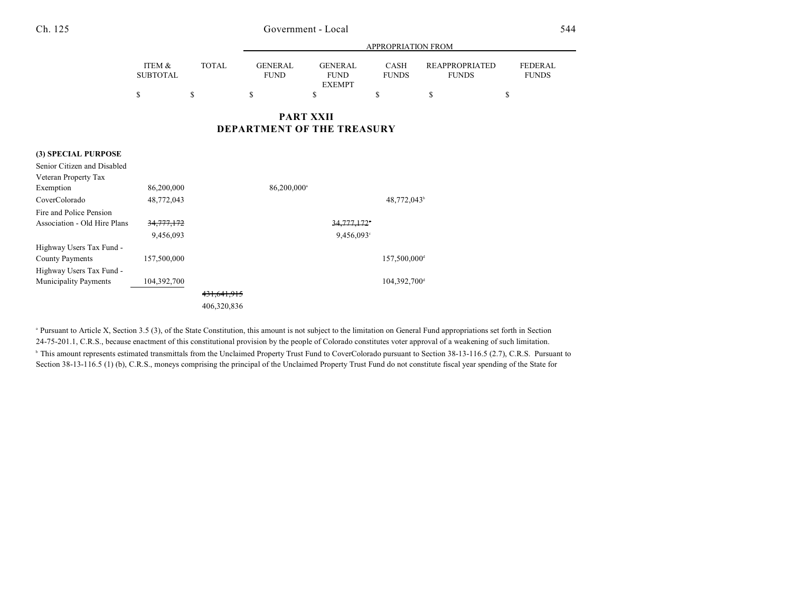### Ch. 125 Government - Local 544

|                              |                                                       |              | APPROPRIATION FROM            |                                                |                          |                                       |                                |
|------------------------------|-------------------------------------------------------|--------------|-------------------------------|------------------------------------------------|--------------------------|---------------------------------------|--------------------------------|
|                              | ITEM &<br><b>SUBTOTAL</b>                             | <b>TOTAL</b> | <b>GENERAL</b><br><b>FUND</b> | <b>GENERAL</b><br><b>FUND</b><br><b>EXEMPT</b> | CASH<br><b>FUNDS</b>     | <b>REAPPROPRIATED</b><br><b>FUNDS</b> | <b>FEDERAL</b><br><b>FUNDS</b> |
|                              | \$                                                    | \$           | \$                            | \$                                             | \$                       | \$                                    | \$                             |
|                              | <b>PART XXII</b><br><b>DEPARTMENT OF THE TREASURY</b> |              |                               |                                                |                          |                                       |                                |
| (3) SPECIAL PURPOSE          |                                                       |              |                               |                                                |                          |                                       |                                |
| Senior Citizen and Disabled  |                                                       |              |                               |                                                |                          |                                       |                                |
| Veteran Property Tax         |                                                       |              |                               |                                                |                          |                                       |                                |
| Exemption                    | 86,200,000                                            |              | 86,200,000 <sup>a</sup>       |                                                |                          |                                       |                                |
| CoverColorado                | 48,772,043                                            |              |                               |                                                | 48,772,043 <sup>b</sup>  |                                       |                                |
| Fire and Police Pension      |                                                       |              |                               |                                                |                          |                                       |                                |
| Association - Old Hire Plans | 34,777,172                                            |              |                               | 34,777,172                                     |                          |                                       |                                |
|                              | 9,456,093                                             |              | 9,456,093°                    |                                                |                          |                                       |                                |
| Highway Users Tax Fund -     |                                                       |              |                               |                                                |                          |                                       |                                |
| <b>County Payments</b>       | 157,500,000                                           |              |                               |                                                | 157,500,000 <sup>d</sup> |                                       |                                |
| Highway Users Tax Fund -     |                                                       |              |                               |                                                |                          |                                       |                                |
| Municipality Payments        | 104,392,700                                           |              |                               |                                                | 104,392,700 <sup>d</sup> |                                       |                                |
|                              |                                                       | 431,641,915  |                               |                                                |                          |                                       |                                |
|                              |                                                       | 406,320,836  |                               |                                                |                          |                                       |                                |

<sup>a</sup> Pursuant to Article X, Section 3.5 (3), of the State Constitution, this amount is not subject to the limitation on General Fund appropriations set forth in Section 24-75-201.1, C.R.S., because enactment of this constitutional provision by the people of Colorado constitutes voter approval of a weakening of such limitation. <sup>h</sup> This amount represents estimated transmittals from the Unclaimed Property Trust Fund to CoverColorado pursuant to Section 38-13-116.5 (2.7), C.R.S. Pursuant to Section 38-13-116.5 (1) (b), C.R.S., moneys comprising the principal of the Unclaimed Property Trust Fund do not constitute fiscal year spending of the State for